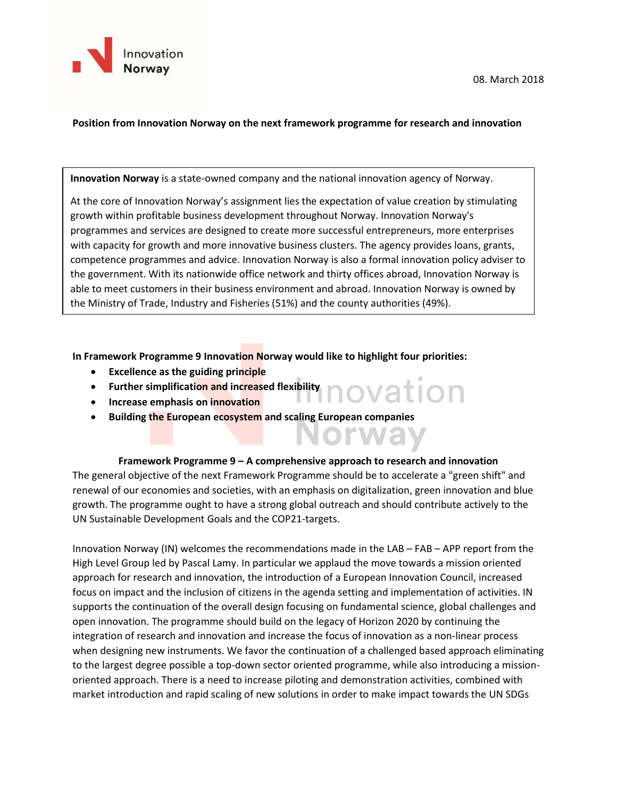

### **Position from Innovation Norway on the next framework programme for research and innovation**

**Innovation Norway** is a state-owned company and the national innovation agency of Norway.

At the core of Innovation Norway's assignment lies the expectation of value creation by stimulating growth within profitable business development throughout Norway. Innovation Norway's programmes and services are designed to create more successful entrepreneurs, more enterprises with capacity for growth and more innovative business clusters. The agency provides loans, grants, competence programmes and advice. Innovation Norway is also a formal innovation policy adviser to the government. With its nationwide office network and thirty offices abroad, Innovation Norway is able to meet customers in their business environment and abroad. Innovation Norway is owned by the Ministry of Trade, Industry and Fisheries (51%) and the county authorities (49%).

**In Framework Programme 9 Innovation Norway would like to highlight four priorities:**

- **Excellence as the guiding principle**
- Further simplification and increased flexibility<br>• Increase emphasis on innovation
- **Increase emphasis on innovation**
- **Building the European ecosystem and scaling European companies**

### **Framework Programme 9 – A comprehensive approach to research and innovation**

Norwa

The general objective of the next Framework Programme should be to accelerate a "green shift" and renewal of our economies and societies, with an emphasis on digitalization, green innovation and blue growth. The programme ought to have a strong global outreach and should contribute actively to the UN Sustainable Development Goals and the COP21-targets.

Innovation Norway (IN) welcomes the recommendations made in the LAB – FAB – APP report from the High Level Group led by Pascal Lamy. In particular we applaud the move towards a mission oriented approach for research and innovation, the introduction of a European Innovation Council, increased focus on impact and the inclusion of citizens in the agenda setting and implementation of activities. IN supports the continuation of the overall design focusing on fundamental science, global challenges and open innovation. The programme should build on the legacy of Horizon 2020 by continuing the integration of research and innovation and increase the focus of innovation as a non-linear process when designing new instruments. We favor the continuation of a challenged based approach eliminating to the largest degree possible a top-down sector oriented programme, while also introducing a missionoriented approach. There is a need to increase piloting and demonstration activities, combined with market introduction and rapid scaling of new solutions in order to make impact towards the UN SDGs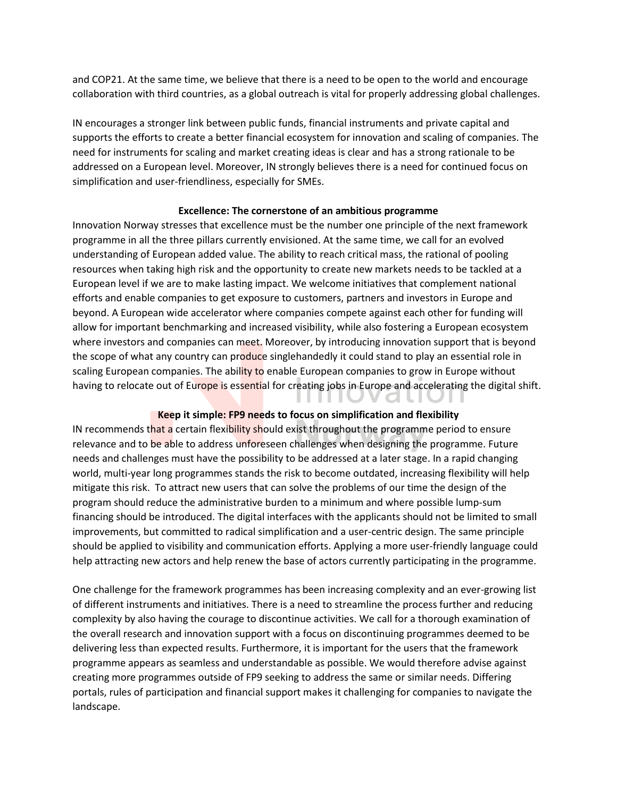and COP21. At the same time, we believe that there is a need to be open to the world and encourage collaboration with third countries, as a global outreach is vital for properly addressing global challenges.

IN encourages a stronger link between public funds, financial instruments and private capital and supports the efforts to create a better financial ecosystem for innovation and scaling of companies. The need for instruments for scaling and market creating ideas is clear and has a strong rationale to be addressed on a European level. Moreover, IN strongly believes there is a need for continued focus on simplification and user-friendliness, especially for SMEs.

## **Excellence: The cornerstone of an ambitious programme**

Innovation Norway stresses that excellence must be the number one principle of the next framework programme in all the three pillars currently envisioned. At the same time, we call for an evolved understanding of European added value. The ability to reach critical mass, the rational of pooling resources when taking high risk and the opportunity to create new markets needs to be tackled at a European level if we are to make lasting impact. We welcome initiatives that complement national efforts and enable companies to get exposure to customers, partners and investors in Europe and beyond. A European wide accelerator where companies compete against each other for funding will allow for important benchmarking and increased visibility, while also fostering a European ecosystem where investors and companies can meet. Moreover, by introducing innovation support that is beyond the scope of what any country can produce singlehandedly it could stand to play an essential role in scaling European companies. The ability to enable European companies to grow in Europe without having to relocate out of Europe is essential for creating jobs in Europe and accelerating the digital shift.

# **Keep it simple: FP9 needs to focus on simplification and flexibility**

. . . . . .

**V GLL** 

 $\mathbb{R}^n$ 

IN recommends that a certain flexibility should exist throughout the programme period to ensure relevance and to be able to address unforeseen challenges when designing the programme. Future needs and challenges must have the possibility to be addressed at a later stage. In a rapid changing world, multi-year long programmes stands the risk to become outdated, increasing flexibility will help mitigate this risk. To attract new users that can solve the problems of our time the design of the program should reduce the administrative burden to a minimum and where possible lump-sum financing should be introduced. The digital interfaces with the applicants should not be limited to small improvements, but committed to radical simplification and a user-centric design. The same principle should be applied to visibility and communication efforts. Applying a more user-friendly language could help attracting new actors and help renew the base of actors currently participating in the programme.

One challenge for the framework programmes has been increasing complexity and an ever-growing list of different instruments and initiatives. There is a need to streamline the process further and reducing complexity by also having the courage to discontinue activities. We call for a thorough examination of the overall research and innovation support with a focus on discontinuing programmes deemed to be delivering less than expected results. Furthermore, it is important for the users that the framework programme appears as seamless and understandable as possible. We would therefore advise against creating more programmes outside of FP9 seeking to address the same or similar needs. Differing portals, rules of participation and financial support makes it challenging for companies to navigate the landscape.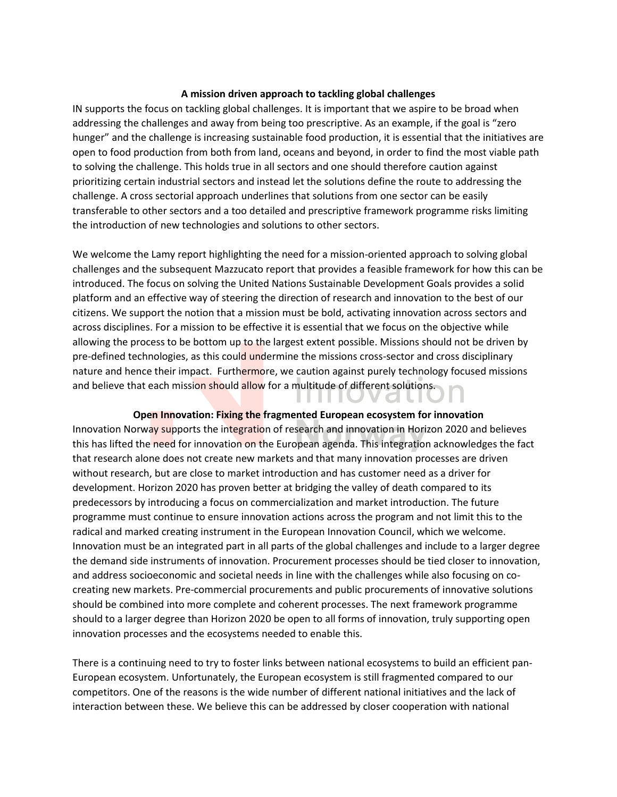### **A mission driven approach to tackling global challenges**

IN supports the focus on tackling global challenges. It is important that we aspire to be broad when addressing the challenges and away from being too prescriptive. As an example, if the goal is "zero hunger" and the challenge is increasing sustainable food production, it is essential that the initiatives are open to food production from both from land, oceans and beyond, in order to find the most viable path to solving the challenge. This holds true in all sectors and one should therefore caution against prioritizing certain industrial sectors and instead let the solutions define the route to addressing the challenge. A cross sectorial approach underlines that solutions from one sector can be easily transferable to other sectors and a too detailed and prescriptive framework programme risks limiting the introduction of new technologies and solutions to other sectors.

We welcome the Lamy report highlighting the need for a mission-oriented approach to solving global challenges and the subsequent Mazzucato report that provides a feasible framework for how this can be introduced. The focus on solving the United Nations Sustainable Development Goals provides a solid platform and an effective way of steering the direction of research and innovation to the best of our citizens. We support the notion that a mission must be bold, activating innovation across sectors and across disciplines. For a mission to be effective it is essential that we focus on the objective while allowing the process to be bottom up to the largest extent possible. Missions should not be driven by pre-defined technologies, as this could undermine the missions cross-sector and cross disciplinary nature and hence their impact. Furthermore, we caution against purely technology focused missions and believe that each mission should allow for a multitude of different solutions.

### **Open Innovation: Fixing the fragmented European ecosystem for innovation**

I I I I U

**VOLI** 

Innovation Norway supports the integration of research and innovation in Horizon 2020 and believes this has lifted the need for innovation on the European agenda. This integration acknowledges the fact that research alone does not create new markets and that many innovation processes are driven without research, but are close to market introduction and has customer need as a driver for development. Horizon 2020 has proven better at bridging the valley of death compared to its predecessors by introducing a focus on commercialization and market introduction. The future programme must continue to ensure innovation actions across the program and not limit this to the radical and marked creating instrument in the European Innovation Council, which we welcome. Innovation must be an integrated part in all parts of the global challenges and include to a larger degree the demand side instruments of innovation. Procurement processes should be tied closer to innovation, and address socioeconomic and societal needs in line with the challenges while also focusing on cocreating new markets. Pre-commercial procurements and public procurements of innovative solutions should be combined into more complete and coherent processes. The next framework programme should to a larger degree than Horizon 2020 be open to all forms of innovation, truly supporting open innovation processes and the ecosystems needed to enable this.

There is a continuing need to try to foster links between national ecosystems to build an efficient pan-European ecosystem. Unfortunately, the European ecosystem is still fragmented compared to our competitors. One of the reasons is the wide number of different national initiatives and the lack of interaction between these. We believe this can be addressed by closer cooperation with national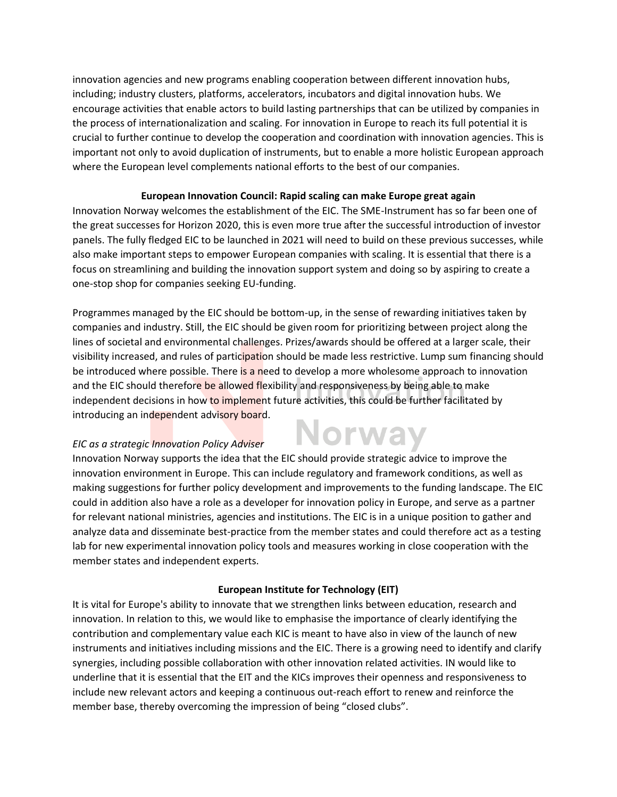innovation agencies and new programs enabling cooperation between different innovation hubs, including; industry clusters, platforms, accelerators, incubators and digital innovation hubs. We encourage activities that enable actors to build lasting partnerships that can be utilized by companies in the process of internationalization and scaling. For innovation in Europe to reach its full potential it is crucial to further continue to develop the cooperation and coordination with innovation agencies. This is important not only to avoid duplication of instruments, but to enable a more holistic European approach where the European level complements national efforts to the best of our companies.

## **European Innovation Council: Rapid scaling can make Europe great again**

Innovation Norway welcomes the establishment of the EIC. The SME-Instrument has so far been one of the great successes for Horizon 2020, this is even more true after the successful introduction of investor panels. The fully fledged EIC to be launched in 2021 will need to build on these previous successes, while also make important steps to empower European companies with scaling. It is essential that there is a focus on streamlining and building the innovation support system and doing so by aspiring to create a one-stop shop for companies seeking EU-funding.

Programmes managed by the EIC should be bottom-up, in the sense of rewarding initiatives taken by companies and industry. Still, the EIC should be given room for prioritizing between project along the lines of societal and environmental challenges. Prizes/awards should be offered at a larger scale, their visibility increased, and rules of participation should be made less restrictive. Lump sum financing should be introduced where possible. There is a need to develop a more wholesome approach to innovation and the EIC should therefore be allowed flexibility and responsiveness by being able to make independent decisions in how to implement future activities, this could be further facilitated by introducing an independent advisory board.

**Norway** 

# *EIC as a strategic Innovation Policy Adviser*

Innovation Norway supports the idea that the EIC should provide strategic advice to improve the innovation environment in Europe. This can include regulatory and framework conditions, as well as making suggestions for further policy development and improvements to the funding landscape. The EIC could in addition also have a role as a developer for innovation policy in Europe, and serve as a partner for relevant national ministries, agencies and institutions. The EIC is in a unique position to gather and analyze data and disseminate best-practice from the member states and could therefore act as a testing lab for new experimental innovation policy tools and measures working in close cooperation with the member states and independent experts.

# **European Institute for Technology (EIT)**

It is vital for Europe's ability to innovate that we strengthen links between education, research and innovation. In relation to this, we would like to emphasise the importance of clearly identifying the contribution and complementary value each KIC is meant to have also in view of the launch of new instruments and initiatives including missions and the EIC. There is a growing need to identify and clarify synergies, including possible collaboration with other innovation related activities. IN would like to underline that it is essential that the EIT and the KICs improves their openness and responsiveness to include new relevant actors and keeping a continuous out-reach effort to renew and reinforce the member base, thereby overcoming the impression of being "closed clubs".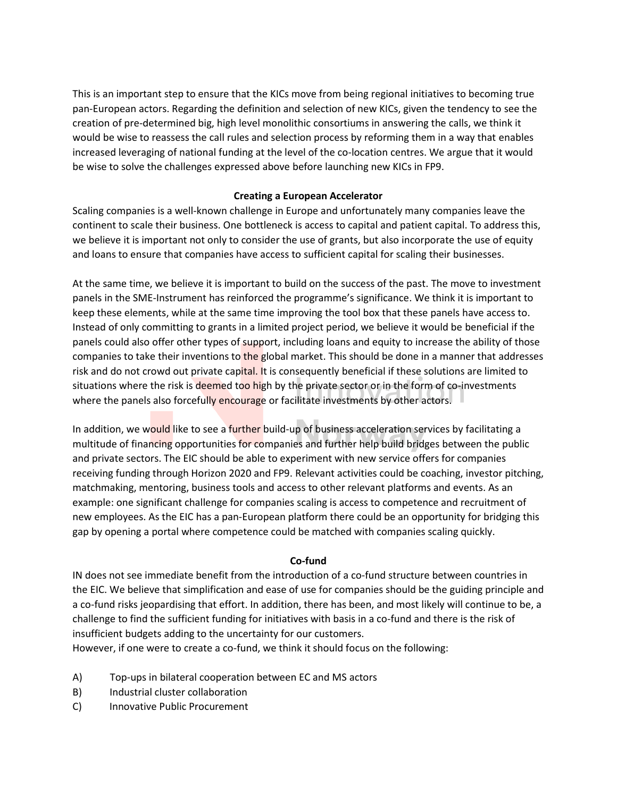This is an important step to ensure that the KICs move from being regional initiatives to becoming true pan-European actors. Regarding the definition and selection of new KICs, given the tendency to see the creation of pre-determined big, high level monolithic consortiums in answering the calls, we think it would be wise to reassess the call rules and selection process by reforming them in a way that enables increased leveraging of national funding at the level of the co-location centres. We argue that it would be wise to solve the challenges expressed above before launching new KICs in FP9.

## **Creating a European Accelerator**

Scaling companies is a well-known challenge in Europe and unfortunately many companies leave the continent to scale their business. One bottleneck is access to capital and patient capital. To address this, we believe it is important not only to consider the use of grants, but also incorporate the use of equity and loans to ensure that companies have access to sufficient capital for scaling their businesses.

At the same time, we believe it is important to build on the success of the past. The move to investment panels in the SME-Instrument has reinforced the programme's significance. We think it is important to keep these elements, while at the same time improving the tool box that these panels have access to. Instead of only committing to grants in a limited project period, we believe it would be beneficial if the panels could also offer other types of support, including loans and equity to increase the ability of those companies to take their inventions to the global market. This should be done in a manner that addresses risk and do not crowd out private capital. It is consequently beneficial if these solutions are limited to situations where the risk is deemed too high by the private sector or in the form of co-investments where the panels also forcefully encourage or facilitate investments by other actors.

In addition, we would like to see a further build-up of business acceleration services by facilitating a multitude of financing opportunities for companies and further help build bridges between the public and private sectors. The EIC should be able to experiment with new service offers for companies receiving funding through Horizon 2020 and FP9. Relevant activities could be coaching, investor pitching, matchmaking, mentoring, business tools and access to other relevant platforms and events. As an example: one significant challenge for companies scaling is access to competence and recruitment of new employees. As the EIC has a pan-European platform there could be an opportunity for bridging this gap by opening a portal where competence could be matched with companies scaling quickly.

## **Co-fund**

IN does not see immediate benefit from the introduction of a co-fund structure between countries in the EIC. We believe that simplification and ease of use for companies should be the guiding principle and a co-fund risks jeopardising that effort. In addition, there has been, and most likely will continue to be, a challenge to find the sufficient funding for initiatives with basis in a co-fund and there is the risk of insufficient budgets adding to the uncertainty for our customers.

However, if one were to create a co-fund, we think it should focus on the following:

- A) Top-ups in bilateral cooperation between EC and MS actors
- B) Industrial cluster collaboration
- C) Innovative Public Procurement